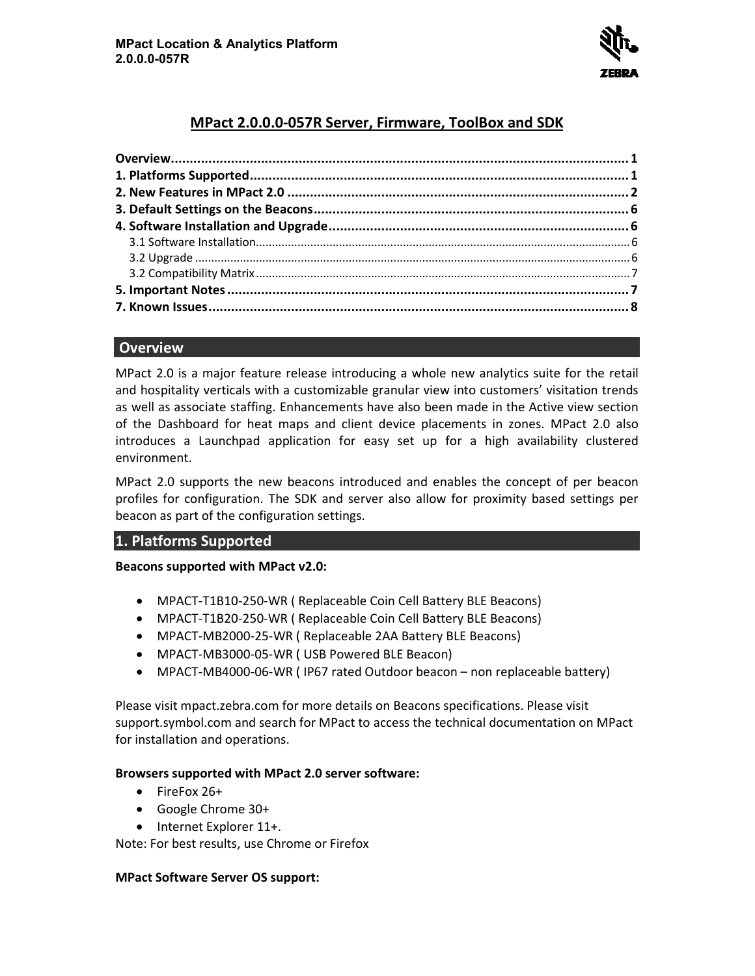

# **MPact 2.0.0.0-057 57R Server, Firmware, ToolBox and SDK**

# **Overview**

MPact 2.0 is a major feature release introducing a whole new analytics suite for the retail and hospitality verticals with a customizable granular view into customers' visitation trends as well as associate staffing. Enhancements have also been made in the Active view section of the Dashboard for heat maps and client device placements in zones. MPact 2.0 also introduces a Launchpad application for easy set up for a high availability clustered environment. MPact 2.0 is a major feature release introducing a whole new analytics suite for the retail<br>and hospitality verticals with a customizable granular view into customers' visitation trends<br>as well as associate staffing. Enhan

MPact 2.0 supports the new beacons introduced and enables the concept of per beacon profiles for configuration. The SDK and server also allow for proximity based settings per be aconfiguration settings than be aconfiguration settings per beacon as part of the configuration settings.

# **1. Platforms Supported**

## **Beacons supported with MPact v2.0:**

- MPACT-T1B10-250-WR ( Replaceable Coin Cell Battery BLE Beacons)
- MPACT-T1B20-250-WR ( Replaceable Coin Cell Battery BLE Beacons)
- MPACT-MB2000-25-WR ( Replaceable 2AA Battery BLE Beacons)
- MPACT-MB3000-05-WR ( USB Powered BLE Beacon)
- MPACT-MB4000-06-WR (IP67 rated Outdoor beacon non replaceable battery)

Please visit mpact.zebra.com for more details on Beacons specifications. Please visit support.symbol.com and search for MPact to access the technical documentation on MPact for installation and operations. rt.symbol.com and search for MPact to<br>tallation and operations.<br>**ers supported with MPact 2.0 server se**<br>FireFox 26+<br>Google Chrome 30+<br>Internet Explorer 11+.<br>For best results, use Chrome or Firefox

## **Browsers supported with MPact 2.0 server software:**

- FireFox 26+
- Google Chrome 30+
- Internet Explorer 11+.

Note: For best results, use Chrome or Fi

## **MPact Software Server OS support:**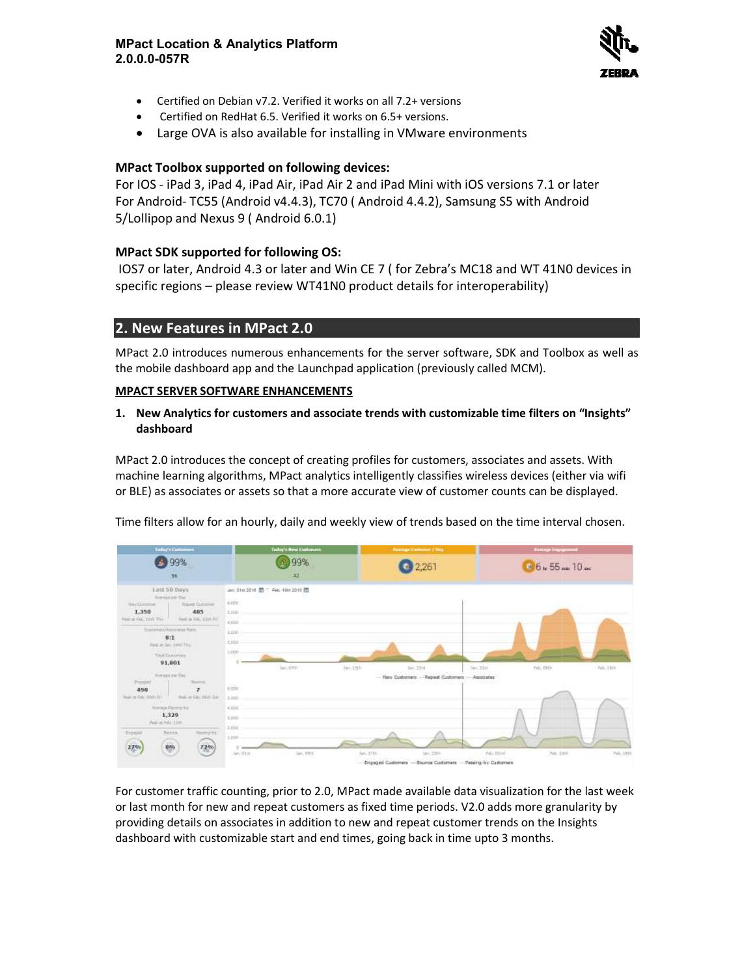

- Certified on Debian v7.2. Verified it works on all 7.2+ versions Certified
- Certified on RedHat 6.5. Verified it works on 6.5+ versions.
- Large OVA is also available for installing in VMware environments

# **MPact Toolbox supported on following devices: supported**

For IOS - iPad 3, iPad 4, iPad Air, iPad Air 2 and iPad Mini with iOS versions 7.1 or later For Android- TC55 (Android v4.4.3), TC70 ( Android 4.4.2), Samsung S5 with Android<br>5/Lollipop and Nexus 9 ( Android 6.0.1)<br>**MPact SDK supported for following OS:**<br>IOS7 or later, Android 4.3 or later and Win CE 7 ( for Zebr 5/Lollipop and Nexus 9 ( Android 6.0.1)

# **MPact SDK supported for following OS:**

IOS7 or later, Android 4.3 or later and Win CE 7 ( for Zebra's MC18 and WT 41N0 devices IOS7 or later, Android 4.3 or later and Win CE 7 (for Zebra's MC18 and WT 4:<br>specific regions – please review WT41N0 product details for interoperability)

# **2. New Features in MPact 2.0 2.0**

MPact 2.0 introduces numerous enhancements for the server software, SDK and Toolbox as well as the mobile dashboard app and the Launchpad application (previously called MCM). the mobile dashboard app and the Launchpad application (previously called MCM).

## **MPACT SERVER SOFTWARE ENHANCEMENTS**

# **1. New Analytics for customers and a SERVER or associate trends with customizable time filters on "Insights" dashboard**

MPact 2.0 introduces the concept of creating profiles for customers, associates and assets. With<br>machine learning algorithms, MPact analytics intelligently classifies wireless devices (either via wifi machine learning algorithms, MPact analytics intelligently classifies wireless devices (either via wifi or BLE) as associates or assets so that a more accurate view of customer counts can be displayed.

or BLE) as associates or assets so that a more accurate view of customer counts can be displayed.<br>Time filters allow for an hourly, daily and weekly view of trends based on the time interval chosen.



For customer traffic counting, prior to 2.0, MPact made available data visualization for the last week or last month for new and repeat customers as fixed time periods. V2.0 adds more granularity by providing details on associates in addition to new and repeat customer trends on the Insights dashboard with customizable start and end times, going back in time upto 3 months.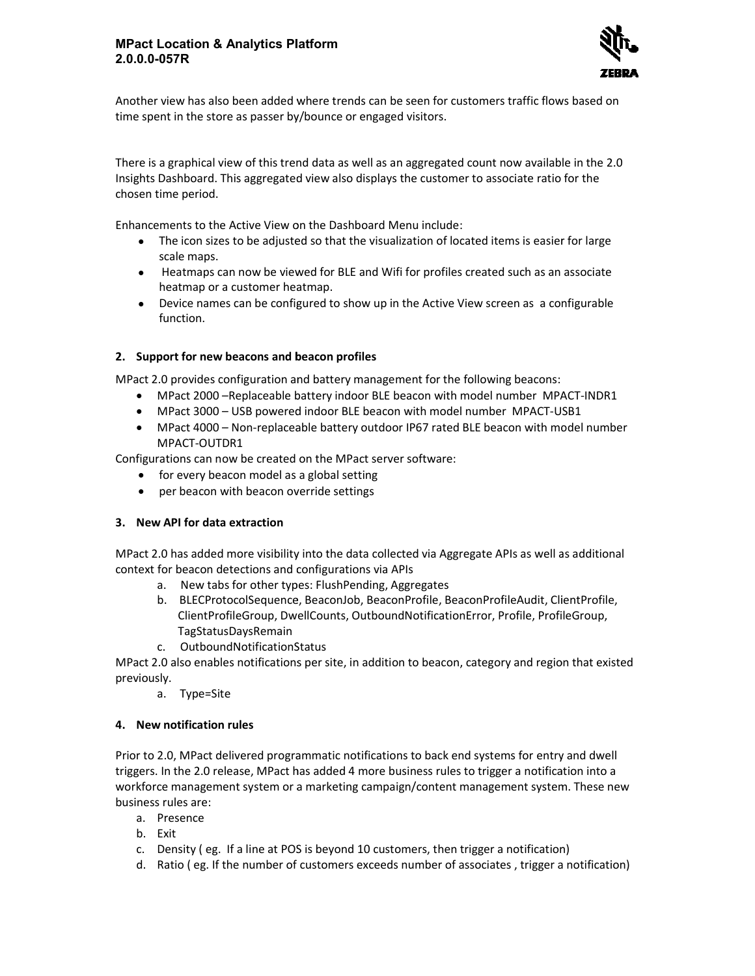#### **MPact Location & Analytics Platform 2.0.0.0-057R**



Another view has also been added where trends can be seen for customers traffic flows time spent in the store as passer by/bounce or engaged visitors.

There is a graphical view of this trend data as well as an aggregated count now available in the 2.0 Insights Dashboard. This aggregated view also displays the customer to associate ratio for the chosen time period. this trend data as well as an aggregated count now available in the 2.0<br>gregated view also displays the customer to associate ratio for the<br>exive on the Dashboard Menu include:<br>adjusted so that the visualization of located

Enhancements to the Active View on the Dashboard M Menu include:

- The icon sizes to be adjusted so that the visualization of located items is easier for large scale maps.
- Heatmaps can now be viewed for BLE and Wifi for profiles created such as an associate heatmap or a customer heatmap. • The icon sizes to be adjusted so that the visualization of located items is easier for large scale maps.<br>• Heatmaps can now be viewed for BLE and Wifi for profiles created such as an associate heatmap or a customer heatm
- function.

#### **2. Support for new beacons and beacon profiles**

- MPact 2.0 provides configuration and battery management for the following beacons:<br>• MPact 2000 Replaceable battery indoor BLE beacon with model number MPACT • MPact 2000 - Replaceable battery indoor BLE beacon with model number MPACT-INDR1
	- MPact 3000 USB powered indoor BLE beacon with model number MPACT-USB1
- MPact 4000 Non-replaceable battery outdoor IP67 rated BLE beacon with model number<br>MPACT-OUTDR1<br>figurations can now be created on the MPact server software: MPACT-OUTDR1 • MPact 3000 – USB powered indoor BLE beacon with model number MPACT-USB1<br>• MPact 4000 – Non-replaceable battery outdoor IP67 rated BLE beacon with model number<br>MPACT-OUTDR1<br>Configurations can now be created on the MPact s

Configurations can now be created on the MPact serve

- for every beacon model as a global setting<br>• per beacon with beacon override settings
- per beacon with beacon override settings

#### **3. New API for data extraction**

MPact 2.0 has added more visibility into the data collected via Aggregate APIs as well as additional context for beacon detections and configurations via APIs

- a. New tabs for other types: FlushPending, Aggregates
- b. BLECProtocolSequence, BeaconJob, BeaconProfile, BeaconProfileAudit, ClientProfile, 2.0 has added more visibility into the data collected via Aggregate APIs as well as addition<br>
t for beacon detections and configurations via APIs<br>
a. New tabs for other types: FlushPending, Aggregates<br>
b. BLECProtocolSeque TagStatusDaysRemain
- c. OutboundNotificationStatus

MPact 2.0 also enables notifications per site, in addition to beacon, category and region that existed previously.

a. Type=Site

#### **4. New notification rules**

Prior to 2.0, MPact delivered programmatic notifications to back end systems for entry and dwell triggers. In the 2.0 release, MPact has added 4 more business rules to trigger a notification into a workforce management system or a marketing campaign/content management system. These new business rules are: iv view has also been added where trends can be seen for customes traffic flows based on<br>entrin the store as passer by/bounce or engaged visitors.<br>
So a graphical view of this trend data as well as an aggregated count now b. BLECProtocolSequence, BeaconJob, BeaconProfile, BeaconProfileAud<br>
ClientProfileGroup, DwellCounts, OutboundNotificationError, Profile,<br>
c. OutboundNotificationStatus<br>
MPact 2.0 also enables notifications per site, in ad

- a. Presence
- b. Exit
- c. Density ( eg. If a line at POS is beyond 10 customers, then trigger a notification)
- d. Ratio ( eg. If the number of customers exceeds number of associates , trigger a notification)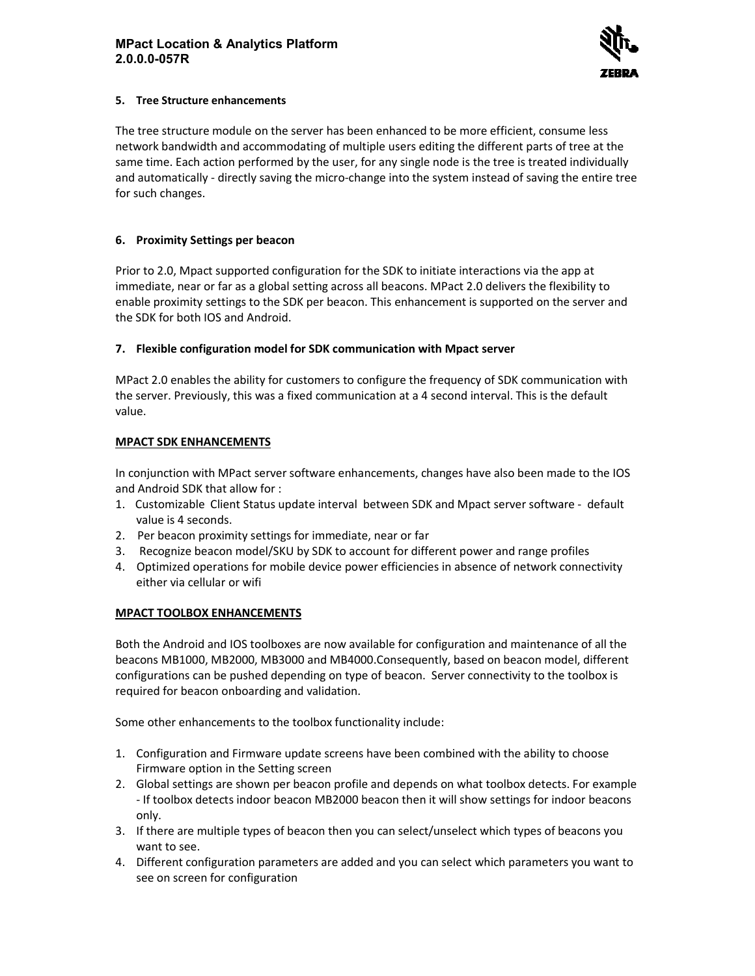

#### **5. Tree Structure enhancements**

The tree structure module on the server has been enhanced to be more efficient, consume less network bandwidth and accommodating of multiple users editing the different parts of tree at the same time. Each action performed by the user, for any single node is the tree is treated individually and automatically - directly saving the micro-change into the system instead of saving the entire tree for such changes. The tree structure module on the server has been enhanced to be more efficient, consume less<br>network bandwidth and accommodating of multiple users editing the different parts of tree at tl<br>same time. Each action performed

### **6. Proximity Settings per beacon**

Prior to 2.0, Mpact supported configuration for the SDK to initiate interactions via the app at immediate, near or far as a global setting across all beacons. MPact 2.0 delivers the flexibility enable proximity settings to the SDK per beacon. This enhancement is supported on the server and the SDK for both IOS and Android.

### **7. Flexible configuration model for SDK communication with Mpact server**

MPact 2.0 enables the ability for customers to configure the frequency of SDK communication with the server. Previously, this was a fixed communication at a 4 second interval. This is the value. 2.0 enables the ability for customers to configure the frequency of SDK communication<br>ver. Previously, this was a fixed communication at a 4 second interval. This is the d<br>**SDK ENHANCEMENTS**<br>unction with MPact server softw enable proximity settings to the SDK per beacon. This enhancement is supported on the server at the SDK for both IOS and Android.<br> **7.** Flexible configuration model for SDK communication with Mpact server<br>
MPact 2.0 enable

### **MPACT SDK ENHANCEMENTS**

In conjunction with MPact server software enhancements, changes have also been made to the IOS<br>and Android SDK that allow for :<br>1. Customizable Client Status update interval between SDK and Mpact server software - def and Android SDK that allow for :

- 1. Customizable Client Status update interval between SDK and Mpact server software default value is 4 seconds.
- 2. Per beacon proximity settings for immediate, near or far
- 3. Recognize beacon model/SKU by SDK to account for different power and range profiles
- 4. Optimized operations for mobile device power efficiencies in absence of network connectivity either via cellular or wifi

#### **MPACT TOOLBOX ENHANCEMENTS**

Both the Android and IOS toolboxes are now available for configuration and maintenance of all the beacons MB1000, MB2000, MB3000 and MB4000.Consequently, based on beacon model, different configurations can be pushed depending on type of beacon. Server connectivity to the toolbox is required for beacon onboarding and validation. eacon proximity settings for immediate, near or far<br>gnize beacon model/SKU by SDK to account for different power and range profiles<br>nized operations for mobile device power efficiencies in absence of network connectivity<br>r 4. Optimized operations for mobile device power efficiencies in absence of network connective<br>
either via cellular or wifi<br>
MPACT TOOLBOX ENHANCEMENTS<br>
Both the Android and IOS toolboxes are now available for configuration

Some other enhancements to the toolbox functionality include:

- 1. Configuration and Firmware update screens have been combined with the ability to choose Firmware option in the Setting screen
- 2. Global settings are shown per beacon profile and depends on what toolbox detects. For example - If toolbox detects indoor beacon MB2000 beacon then it will show settings for indoor beacons only. Configuration and Firmware update screens have been combined with the ability to choose<br>Firmware option in the Setting screen<br>Global settings are shown per beacon profile and depends on what toolbox detects. For example<br>-
- 3. If there are multiple types of beacon then you can select/unselect which types of beacons you want to see.
- 4. Different configuration parameters are added and you can select which parameters you want to see on screen for configuration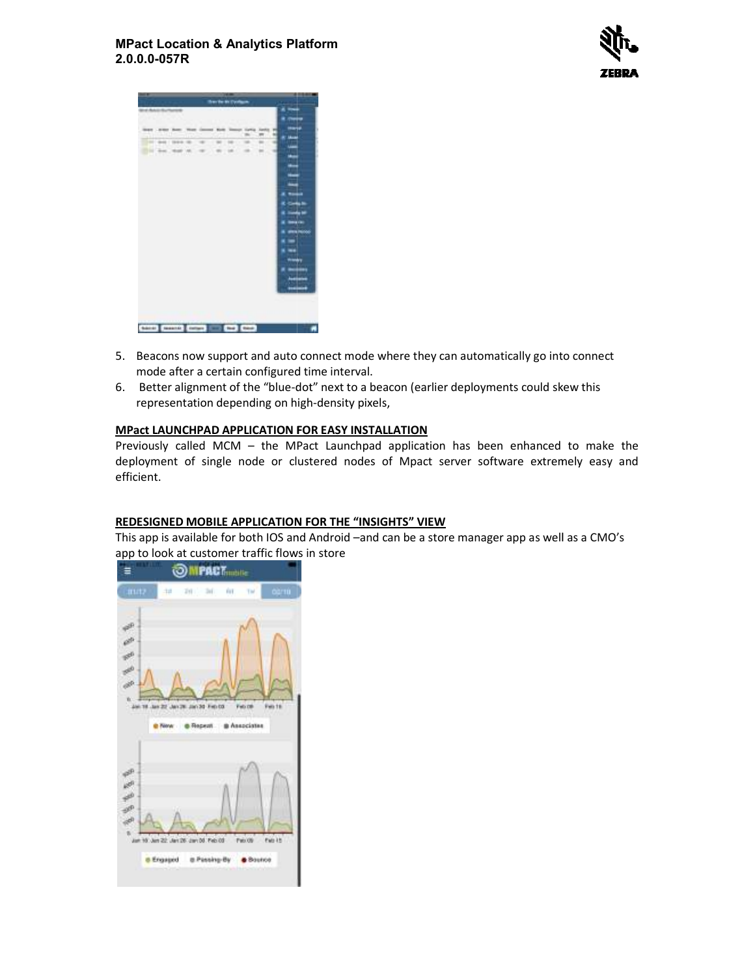### **MPact Location & Analytics Platform 2.0.0.0-057R**





- 5. Beacons now support and auto connect mode where they can automatically go into connect mode after a certain configured time interval.
- 6. Better alignment of the "blue-dot" next to a beacon (earlier deployments could skew this representation depending on high-density pixels,

### **MPact LAUNCHPAD APPLICATION FOR EASY INSTALLATION LAUNCHPAD FOR**

Previously called MCM – the MPact Launchpad application has been enhanced to make the Previously called MCM – the MPact Launchpad application has been enhanced to make the<br>deployment of single node or clustered nodes of Mpact server software extremely easy and efficient. Beacons now support and auto connect mode where they can automatically go into<br>mode after a certain configured time interval.<br>Better alignment of the "blue-dot" next to a beacon (earlier deployments could skey<br>representati

#### **REDESIGNED MOBILE APPLICATION FOR THE "INSIGHTS" VIEW FOR**

This app is available for both IOS and Android –and can be a store manager app as well as a CMO's app to look at customer traffic flows in store

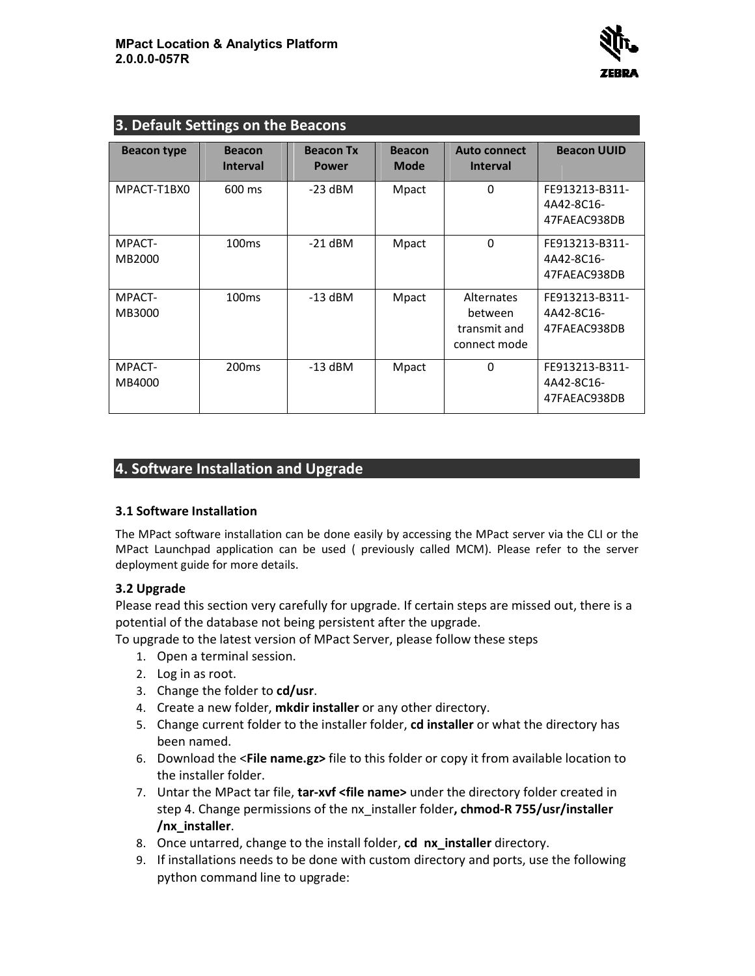

| 3. Default Settings on the Beacons                                                                                                                                                                                                                                                                                                                             |                                                                                                                         |                                  |                              |                                                       |                                              |
|----------------------------------------------------------------------------------------------------------------------------------------------------------------------------------------------------------------------------------------------------------------------------------------------------------------------------------------------------------------|-------------------------------------------------------------------------------------------------------------------------|----------------------------------|------------------------------|-------------------------------------------------------|----------------------------------------------|
| <b>Beacon type</b>                                                                                                                                                                                                                                                                                                                                             | <b>Beacon</b><br><b>Interval</b>                                                                                        | <b>Beacon Tx</b><br><b>Power</b> | <b>Beacon</b><br><b>Mode</b> | <b>Auto connect</b><br><b>Interval</b>                | <b>Beacon UUID</b>                           |
| MPACT-T1BX0                                                                                                                                                                                                                                                                                                                                                    | 600 ms                                                                                                                  | $-23$ dBM                        | Mpact                        | 0                                                     | FE913213-B311-<br>4A42-8C16-<br>47FAEAC938DB |
| MPACT-<br>MB2000                                                                                                                                                                                                                                                                                                                                               | 100 <sub>ms</sub>                                                                                                       | $-21$ dBM                        | Mpact                        | 0                                                     | FE913213-B311-<br>4A42-8C16-<br>47FAEAC938DB |
| MPACT-<br>MB3000                                                                                                                                                                                                                                                                                                                                               | 100 <sub>ms</sub>                                                                                                       | $-13$ dBM                        | Mpact                        | Alternates<br>between<br>transmit and<br>connect mode | FE913213-B311-<br>4A42-8C16-<br>47FAEAC938DB |
| MPACT-<br>MB4000                                                                                                                                                                                                                                                                                                                                               | 200 <sub>ms</sub>                                                                                                       | $-13$ dBM                        | Mpact                        | $\Omega$                                              | FE913213-B311-<br>4A42-8C16-<br>47FAEAC938DB |
| 3.1 Software Installation<br>The MPact software installation can be done easily by accessing the MPact server via the CLI or the<br>MPact Launchpad application can be used (previously called MCM). Please refer to the server                                                                                                                                |                                                                                                                         |                                  |                              |                                                       |                                              |
| deployment guide for more details.<br>3.2 Upgrade<br>Please read this section very carefully for upgrade. If certain steps are missed out, there is a<br>potential of the database not being persistent after the upgrade.<br>To upgrade to the latest version of MPact Server, please follow these steps<br>1. Open a terminal session.<br>2. Log in as root. |                                                                                                                         |                                  |                              |                                                       |                                              |
| Change the folder to cd/usr.<br>3.<br>Create a new folder, mkdir installer or any other directory.<br>4.<br>Change current folder to the installer folder, cd installer or what the directory has<br>5.<br>been named.                                                                                                                                         |                                                                                                                         |                                  |                              |                                                       |                                              |
| 6. Download the <file name.gz=""> file to this folder or copy it from available location to<br/>the installer folder.</file>                                                                                                                                                                                                                                   |                                                                                                                         |                                  |                              |                                                       |                                              |
| 7. Untar the MPact tar file, tar-xvf <file name=""> under the directory folder created in<br/>step 4. Change permissions of the nx_installer folder, chmod-R 755/usr/installer<br/>/nx_installer.</file>                                                                                                                                                       |                                                                                                                         |                                  |                              |                                                       |                                              |
| 8. Once untarred, change to the install folder, cd nx_installer directory.                                                                                                                                                                                                                                                                                     |                                                                                                                         |                                  |                              |                                                       |                                              |
| 9.                                                                                                                                                                                                                                                                                                                                                             | If installations needs to be done with custom directory and ports, use the following<br>python command line to upgrade: |                                  |                              |                                                       |                                              |

# **4. Software Installation and Upgrade**

## **3.1 Software Installation**

## **3.2 Upgrade**

- 1. Open a terminal session.
- 2. Log in as root.
- 3. Change the folder to **cd/usr cd/usr**.
- 4. Create a new folder, mkdir installer or any other directory.
- 5. Change current folder to the installer folder, cd installer or what the directory has been named. Please read this section very carefully for upgrade. If certain steps are missed out,<br>potential of the database not being persistent after the upgrade.<br>To upgrade to the latest version of MPact Server, please follow these
	- 6. Download the <**File name.gz>** file to this folder or copy it from available location to the installer folder.
	- 7. Untar the MPact tar file, tar-xvf <file name> under the directory folder created in step 4. Change permissions of the nx\_installer folder, chmod-R 755/usr/installer **/nx\_installer**.
	- 8. Once untarred, change to the install folder, cd nx\_installer directory.
	- 9. If installations needs to be done with custom directory and ports, use the following python command line to upgrade: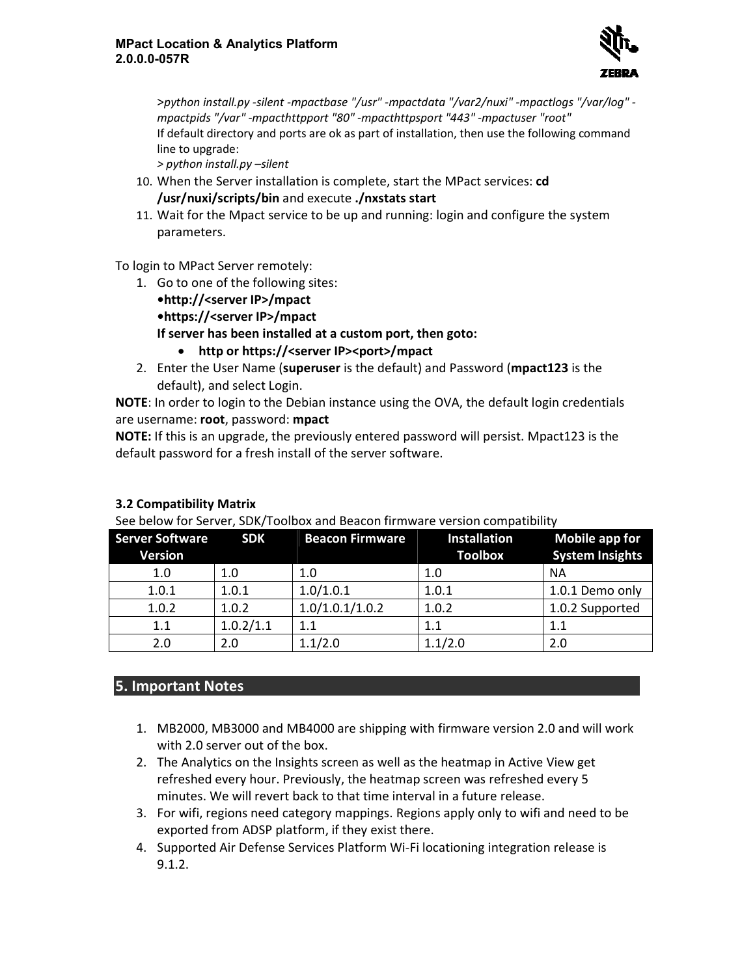

>python install.py -silent -mpactbase "/usr" -mpactdata "/var2/nuxi" -mpactlogs "/var/log" *mpactpids "/var" -mpacthttpport "80" mpacthttpport -mpacthttpsport "443" -mpactuser "root" mpactuser* If default directory and ports are ok as part of installation, then use the following command line to upgrade:

*> python install.py –silent* 

- 10. When the Server installation is complete, start the MPact services: cd **/usr/nuxi/scripts/bin** and execute  **./nxstats start**
- 11. Wait for the Mpact service to be up and running: login and configure the system parameters.

To login to MPact Server remotely:

- login to MPact Server remotely:<br>1. Go to one of the following sites: **•http://<server IP>/mpact •https://<server IP>/mpact If server has been installed at a custom •http://<server •https://<server If custom port, then goto:**  • **http or https://<server https://<server IP><port>/mpact**  the Mpact service to be up and running: login and configure the systen<br>ers.<br>ct Server remotely:<br>e of the following sites:<br>**<server IP>/mpact<br>/<server IP>/mpact<br>has been installed at a custom port, then goto:<br>ttp or https:/**
- 2. Enter the User Name (**superuser** is the default) and Password (**mpact123** default), and select Login.

NOTE: In order to login to the Debian instance using the OVA, the default login credentials are username: **root**, password: **mpact mpact**

# **3.2 Compatibility Matrix**

| NOTE: If this is an upgrade, the previously entered password will persist. Mpact123 is the<br>default password for a fresh install of the server software.<br><b>3.2 Compatibility Matrix</b><br>See below for Server, SDK/Toolbox and Beacon firmware version compatibility |            |                        |                     |                        |
|------------------------------------------------------------------------------------------------------------------------------------------------------------------------------------------------------------------------------------------------------------------------------|------------|------------------------|---------------------|------------------------|
| <b>Server Software</b>                                                                                                                                                                                                                                                       | <b>SDK</b> | <b>Beacon Firmware</b> | <b>Installation</b> | <b>Mobile app for</b>  |
| <b>Version</b>                                                                                                                                                                                                                                                               |            |                        | <b>Toolbox</b>      | <b>System Insights</b> |
| 1.0                                                                                                                                                                                                                                                                          | 1.0        | 1.0                    | 1.0                 | <b>NA</b>              |
| 1.0.1                                                                                                                                                                                                                                                                        | 1.0.1      | 1.0/1.0.1              | 1.0.1               | 1.0.1 Demo only        |
| 1.0.2                                                                                                                                                                                                                                                                        | 1.0.2      | 1.0/1.0.1/1.0.2        | 1.0.2               | 1.0.2 Supported        |
| 1.1                                                                                                                                                                                                                                                                          | 1.0.2/1.1  | 1.1                    | 1.1                 | 1.1                    |
| 2.0                                                                                                                                                                                                                                                                          | 2.0        | 1.1/2.0                | 1.1/2.0             | 2.0                    |

# **5. Important Notes**

- 1. MB2000, MB3000 and MB4000 are shipping with firmware version 2.0 and will work with 2.0 server out of the box. 1. MB2000, MB3000 and MB4000 are shipping with firmware version 2.0 and wil<br>with 2.0 server out of the box.<br>2. The Analytics on the Insights screen as well as the heatmap in Active View get
- refreshed every hour. Previously, the heatmap screen was refreshed every 5 minutes. We will revert back to that time interval in a future release.
- 3. For wifi, regions need category mappings. Regions apply only to wifi and need to b exported from ADSP platform, if they exist there. refreshed every hour. Previously, the heatmap screen was refreshed every 5<br>minutes. We will revert back to that time interval in a future release.<br>For wifi, regions need category mappings. Regions apply only to wifi and ne category mappings. Regions apply only to wifi and need to be
- 4. Supported Air Defense Services Platform Wi-Fi locationing integration release is 9.1.2.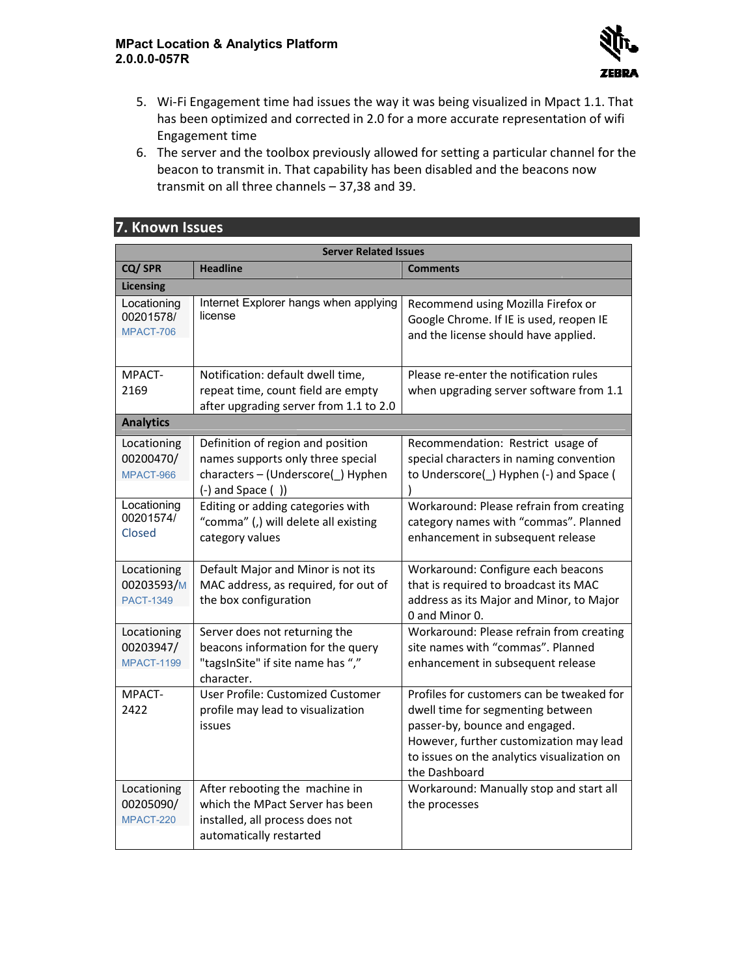

- 5. Wi-Fi Engagement time had issues the way it was being visualized in Mpact 1.1. That Wi-Fi Engagement time had issues the way it was being visualized in Mpact 1.1. Thas been optimized and corrected in 2.0 for a more accurate representation of wifi<br>Engagement time<br>The server and the toolbox previously allow Engagement time
- 6. The server and the toolbox previously allowed for setting a particular channel for the beacon to transmit in. That capability has been disabled and the beacons now transmit on all three channels - 37,38 and 39. The server and the toolbox previously allowed<br>beacon to transmit in. That capability has beer<br>transmit on all three channels – 37,38 and 39.

| <b>Server Related Issues</b>                  |                                                                                                                                      |                                                                                                                                                                                                                             |  |
|-----------------------------------------------|--------------------------------------------------------------------------------------------------------------------------------------|-----------------------------------------------------------------------------------------------------------------------------------------------------------------------------------------------------------------------------|--|
| CQ/SPR                                        | <b>Headline</b>                                                                                                                      | <b>Comments</b>                                                                                                                                                                                                             |  |
| <b>Licensing</b>                              |                                                                                                                                      |                                                                                                                                                                                                                             |  |
| Locationing<br>00201578/<br>MPACT-706         | Internet Explorer hangs when applying<br>license                                                                                     | Recommend using Mozilla Firefox or<br>Google Chrome. If IE is used, reopen IE<br>and the license should have applied.                                                                                                       |  |
| MPACT-<br>2169                                | Notification: default dwell time,<br>repeat time, count field are empty<br>after upgrading server from 1.1 to 2.0                    | Please re-enter the notification rules<br>when upgrading server software from 1.1                                                                                                                                           |  |
| <b>Analytics</b>                              |                                                                                                                                      |                                                                                                                                                                                                                             |  |
| Locationing<br>00200470/<br>MPACT-966         | Definition of region and position<br>names supports only three special<br>characters - (Underscore() Hyphen<br>$(-)$ and Space $( )$ | Recommendation: Restrict usage of<br>special characters in naming convention<br>to Underscore() Hyphen (-) and Space (                                                                                                      |  |
| Locationing<br>00201574/<br>Closed            | Editing or adding categories with<br>"comma" (,) will delete all existing<br>category values                                         | Workaround: Please refrain from creating<br>category names with "commas". Planned<br>enhancement in subsequent release                                                                                                      |  |
| Locationing<br>00203593/M<br><b>PACT-1349</b> | Default Major and Minor is not its<br>MAC address, as required, for out of<br>the box configuration                                  | Workaround: Configure each beacons<br>that is required to broadcast its MAC<br>address as its Major and Minor, to Major<br>0 and Minor 0.                                                                                   |  |
| Locationing<br>00203947/<br><b>MPACT-1199</b> | Server does not returning the<br>beacons information for the query<br>"tagsInSite" if site name has ","<br>character.                | Workaround: Please refrain from creating<br>site names with "commas". Planned<br>enhancement in subsequent release                                                                                                          |  |
| MPACT-<br>2422                                | User Profile: Customized Customer<br>profile may lead to visualization<br>issues                                                     | Profiles for customers can be tweaked for<br>dwell time for segmenting between<br>passer-by, bounce and engaged.<br>However, further customization may lead<br>to issues on the analytics visualization on<br>the Dashboard |  |
| Locationing<br>00205090/<br>MPACT-220         | After rebooting the machine in<br>which the MPact Server has been<br>installed, all process does not<br>automatically restarted      | Workaround: Manually stop and start all<br>the processes                                                                                                                                                                    |  |